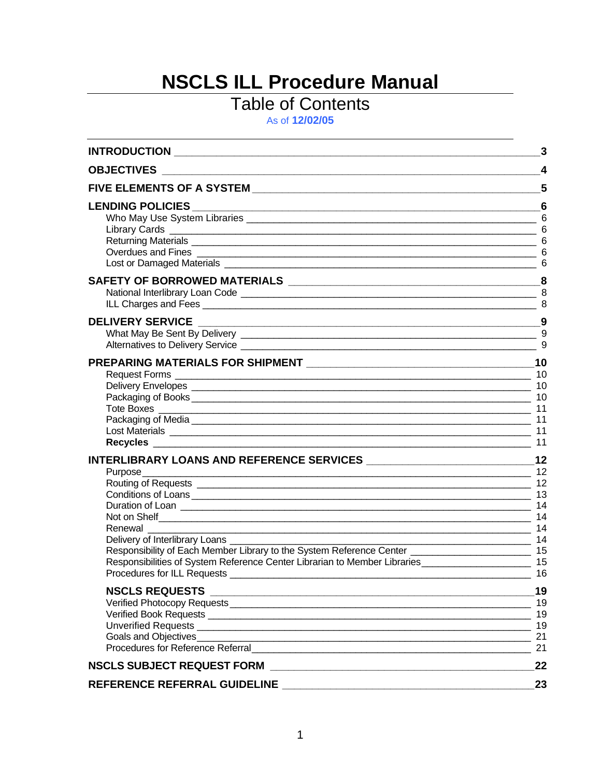# **NSCLS ILL Procedure Manual**

# **Table of Contents**

As of 12/02/05

|                                                                                                                                                                                                                                                                                     | 3                                |
|-------------------------------------------------------------------------------------------------------------------------------------------------------------------------------------------------------------------------------------------------------------------------------------|----------------------------------|
|                                                                                                                                                                                                                                                                                     | $\boldsymbol{4}$                 |
|                                                                                                                                                                                                                                                                                     | 5                                |
|                                                                                                                                                                                                                                                                                     | 6                                |
|                                                                                                                                                                                                                                                                                     |                                  |
|                                                                                                                                                                                                                                                                                     | 9                                |
| Packaging of Media <b>contract to the contract of the contract of the contract of the contract of the contract of the contract of the contract of the contract of the contract of the contract of the contract of the contract o</b>                                                | 11<br>11<br>11                   |
| Purpose<br>Renewal<br>Delivery of Interlibrary Loans __________<br>Responsibility of Each Member Library to the System Reference Center _____________________________ 15<br>Responsibilities of System Reference Center Librarian to Member Libraries __________________________ 15 | 12<br>12<br>12<br>16             |
|                                                                                                                                                                                                                                                                                     | 19<br>19<br>19<br>19<br>21<br>21 |
|                                                                                                                                                                                                                                                                                     | 22                               |
| REFERENCE REFERRAL GUIDELINE                                                                                                                                                                                                                                                        | 23                               |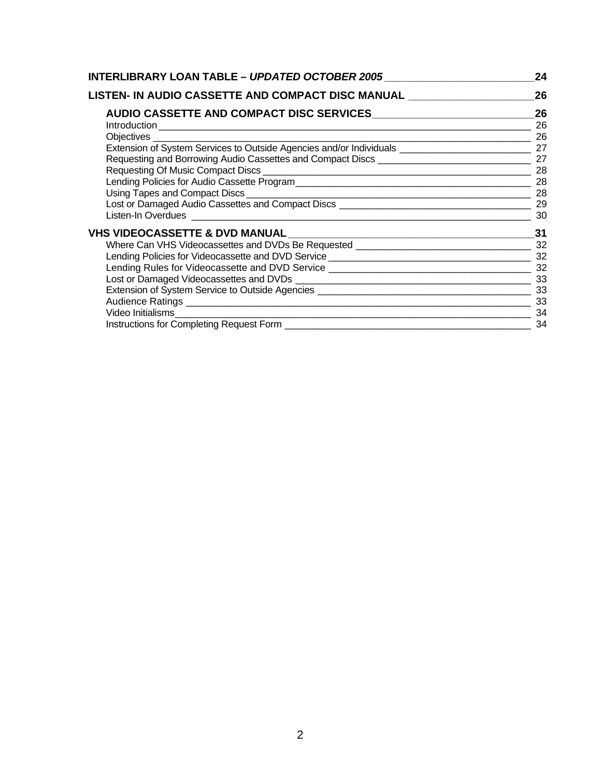| INTERLIBRARY LOAN TABLE - <i>UPDATED OCTOBER 2005</i> | 24        |  |
|-------------------------------------------------------|-----------|--|
| LISTEN- IN AUDIO CASSETTE AND COMPACT DISC MANUAL     | 26        |  |
|                                                       | 26        |  |
|                                                       | 26        |  |
|                                                       | 26        |  |
|                                                       |           |  |
|                                                       |           |  |
|                                                       | 28        |  |
|                                                       | 28        |  |
|                                                       |           |  |
|                                                       |           |  |
|                                                       | 30        |  |
| VHS VIDEOCASSETTE & DVD MANUAL ________               | 31        |  |
|                                                       |           |  |
|                                                       |           |  |
|                                                       |           |  |
|                                                       |           |  |
|                                                       |           |  |
| Audience Ratings 33                                   |           |  |
|                                                       | $\sim$ 34 |  |
|                                                       | 34        |  |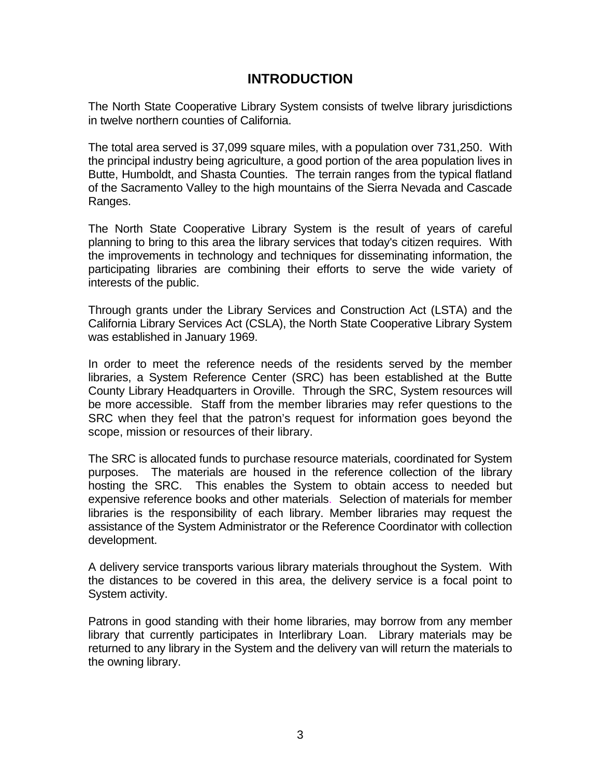# **INTRODUCTION**

The North State Cooperative Library System consists of twelve library jurisdictions in twelve northern counties of California.

The total area served is 37,099 square miles, with a population over 731,250. With the principal industry being agriculture, a good portion of the area population lives in Butte, Humboldt, and Shasta Counties. The terrain ranges from the typical flatland of the Sacramento Valley to the high mountains of the Sierra Nevada and Cascade Ranges.

The North State Cooperative Library System is the result of years of careful planning to bring to this area the library services that today's citizen requires. With the improvements in technology and techniques for disseminating information, the participating libraries are combining their efforts to serve the wide variety of interests of the public.

Through grants under the Library Services and Construction Act (LSTA) and the California Library Services Act (CSLA), the North State Cooperative Library System was established in January 1969.

In order to meet the reference needs of the residents served by the member libraries, a System Reference Center (SRC) has been established at the Butte County Library Headquarters in Oroville. Through the SRC, System resources will be more accessible. Staff from the member libraries may refer questions to the SRC when they feel that the patron's request for information goes beyond the scope, mission or resources of their library.

The SRC is allocated funds to purchase resource materials, coordinated for System purposes. The materials are housed in the reference collection of the library hosting the SRC. This enables the System to obtain access to needed but expensive reference books and other materials. Selection of materials for member libraries is the responsibility of each library. Member libraries may request the assistance of the System Administrator or the Reference Coordinator with collection development.

A delivery service transports various library materials throughout the System. With the distances to be covered in this area, the delivery service is a focal point to System activity.

Patrons in good standing with their home libraries, may borrow from any member library that currently participates in Interlibrary Loan. Library materials may be returned to any library in the System and the delivery van will return the materials to the owning library.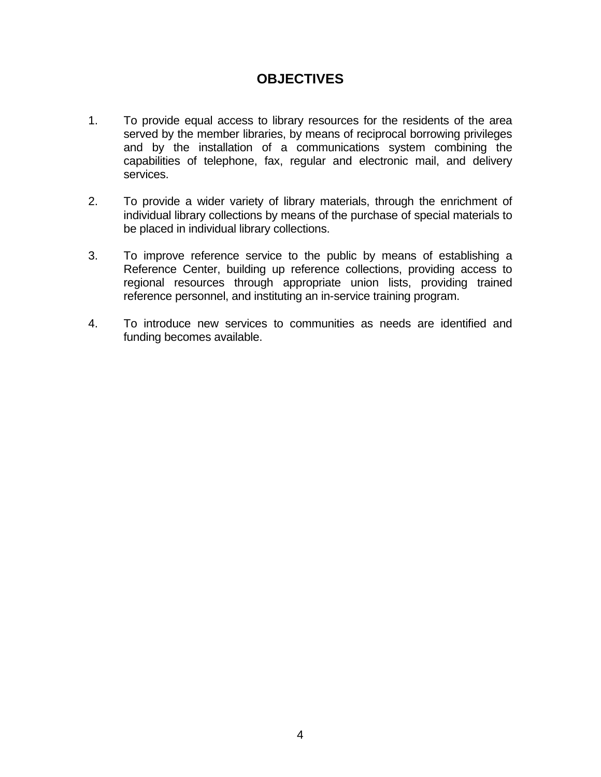# **OBJECTIVES**

- 1. To provide equal access to library resources for the residents of the area served by the member libraries, by means of reciprocal borrowing privileges and by the installation of a communications system combining the capabilities of telephone, fax, regular and electronic mail, and delivery services.
- 2. To provide a wider variety of library materials, through the enrichment of individual library collections by means of the purchase of special materials to be placed in individual library collections.
- 3. To improve reference service to the public by means of establishing a Reference Center, building up reference collections, providing access to regional resources through appropriate union lists, providing trained reference personnel, and instituting an in-service training program.
- 4. To introduce new services to communities as needs are identified and funding becomes available.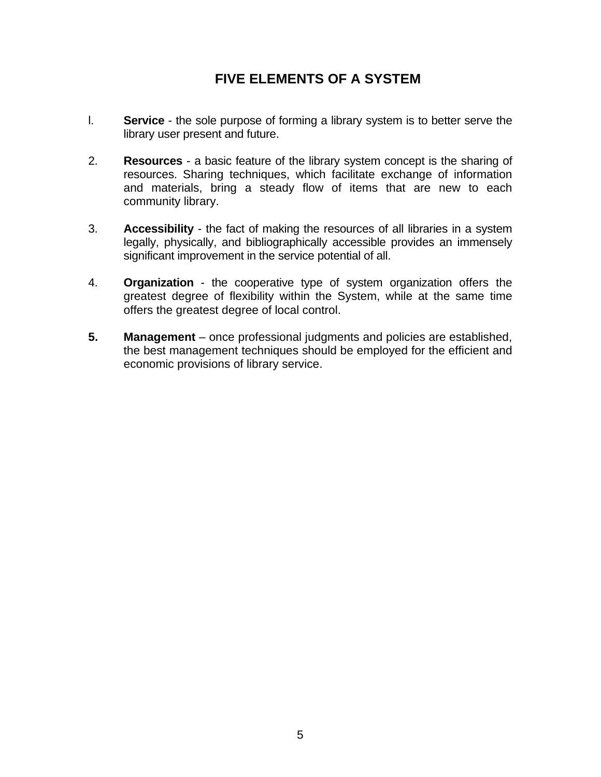# **FIVE ELEMENTS OF A SYSTEM**

- l. **Service** the sole purpose of forming a library system is to better serve the library user present and future.
- 2. **Resources** a basic feature of the library system concept is the sharing of resources. Sharing techniques, which facilitate exchange of information and materials, bring a steady flow of items that are new to each community library.
- 3. **Accessibility** the fact of making the resources of all libraries in a system legally, physically, and bibliographically accessible provides an immensely significant improvement in the service potential of all.
- 4. **Organization** the cooperative type of system organization offers the greatest degree of flexibility within the System, while at the same time offers the greatest degree of local control.
- **5. Management**  once professional judgments and policies are established, the best management techniques should be employed for the efficient and economic provisions of library service.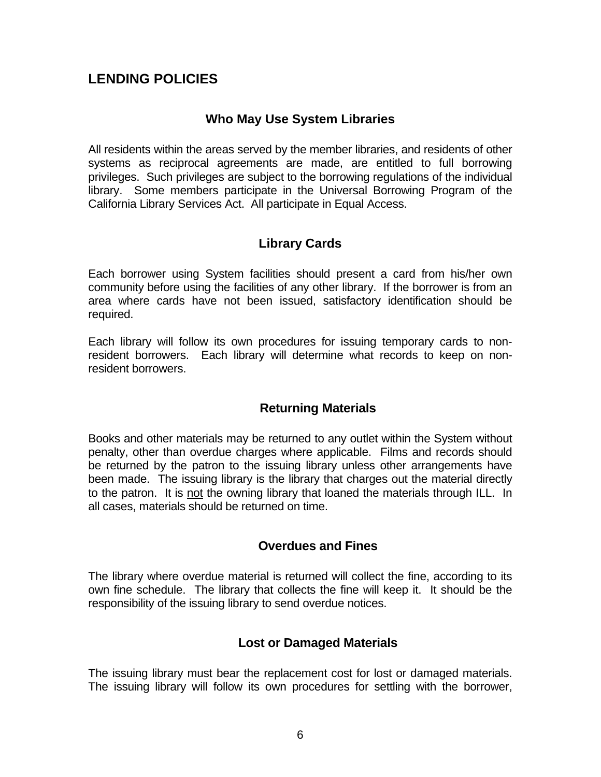# **LENDING POLICIES**

### **Who May Use System Libraries**

All residents within the areas served by the member libraries, and residents of other systems as reciprocal agreements are made, are entitled to full borrowing privileges. Such privileges are subject to the borrowing regulations of the individual library. Some members participate in the Universal Borrowing Program of the California Library Services Act. All participate in Equal Access.

### **Library Cards**

Each borrower using System facilities should present a card from his/her own community before using the facilities of any other library. If the borrower is from an area where cards have not been issued, satisfactory identification should be required.

Each library will follow its own procedures for issuing temporary cards to nonresident borrowers. Each library will determine what records to keep on nonresident borrowers.

# **Returning Materials**

Books and other materials may be returned to any outlet within the System without penalty, other than overdue charges where applicable. Films and records should be returned by the patron to the issuing library unless other arrangements have been made. The issuing library is the library that charges out the material directly to the patron. It is not the owning library that loaned the materials through ILL. In all cases, materials should be returned on time.

# **Overdues and Fines**

The library where overdue material is returned will collect the fine, according to its own fine schedule. The library that collects the fine will keep it. It should be the responsibility of the issuing library to send overdue notices.

# **Lost or Damaged Materials**

The issuing library must bear the replacement cost for lost or damaged materials. The issuing library will follow its own procedures for settling with the borrower,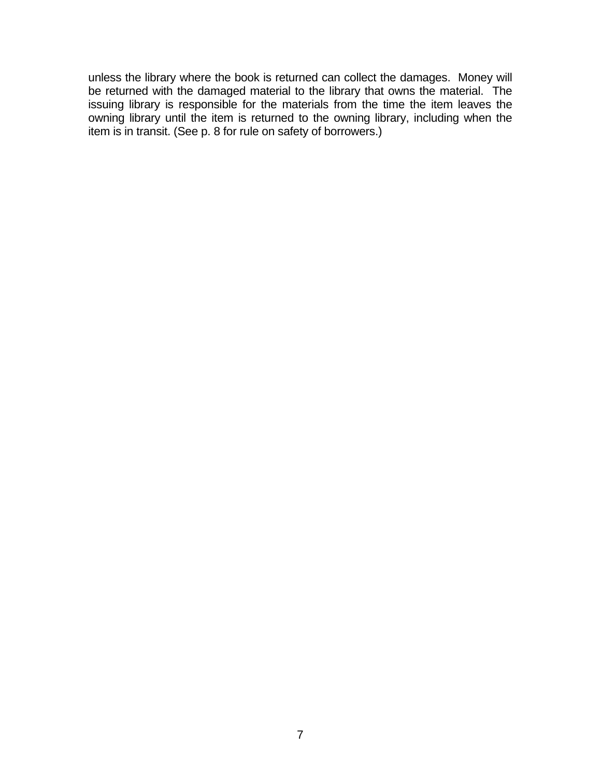unless the library where the book is returned can collect the damages. Money will be returned with the damaged material to the library that owns the material. The issuing library is responsible for the materials from the time the item leaves the owning library until the item is returned to the owning library, including when the item is in transit. (See p. 8 for rule on safety of borrowers.)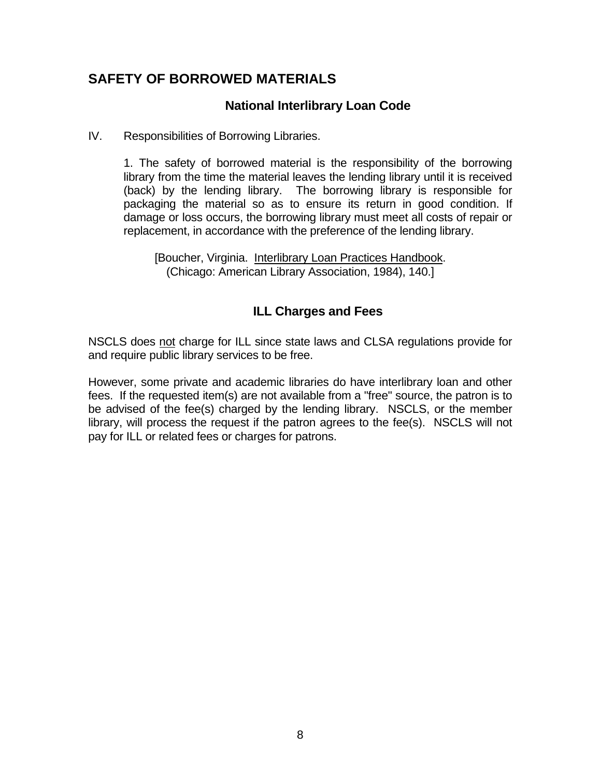# **SAFETY OF BORROWED MATERIALS**

### **National Interlibrary Loan Code**

IV. Responsibilities of Borrowing Libraries.

 1. The safety of borrowed material is the responsibility of the borrowing library from the time the material leaves the lending library until it is received (back) by the lending library. The borrowing library is responsible for packaging the material so as to ensure its return in good condition. If damage or loss occurs, the borrowing library must meet all costs of repair or replacement, in accordance with the preference of the lending library.

[Boucher, Virginia. Interlibrary Loan Practices Handbook. (Chicago: American Library Association, 1984), 140.]

# **ILL Charges and Fees**

NSCLS does not charge for ILL since state laws and CLSA regulations provide for and require public library services to be free.

However, some private and academic libraries do have interlibrary loan and other fees. If the requested item(s) are not available from a "free" source, the patron is to be advised of the fee(s) charged by the lending library. NSCLS, or the member library, will process the request if the patron agrees to the fee(s). NSCLS will not pay for ILL or related fees or charges for patrons.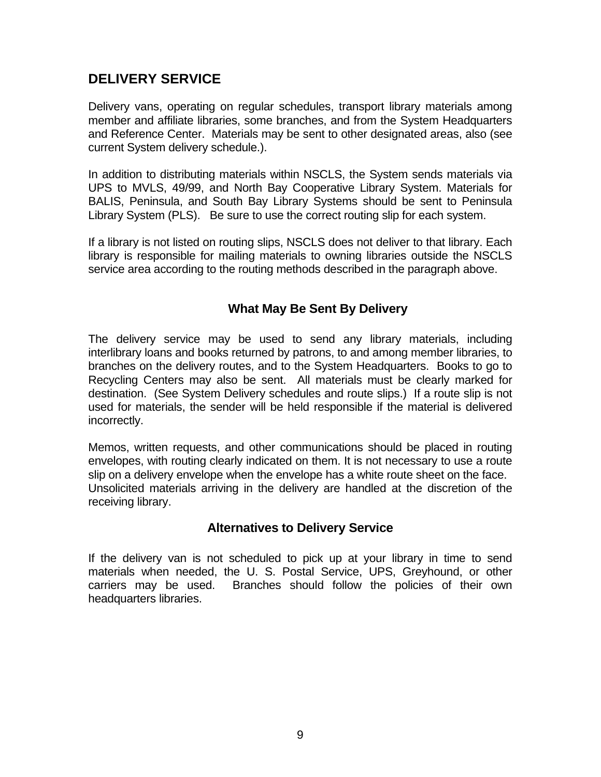# **DELIVERY SERVICE**

Delivery vans, operating on regular schedules, transport library materials among member and affiliate libraries, some branches, and from the System Headquarters and Reference Center. Materials may be sent to other designated areas, also (see current System delivery schedule.).

In addition to distributing materials within NSCLS, the System sends materials via UPS to MVLS, 49/99, and North Bay Cooperative Library System. Materials for BALIS, Peninsula, and South Bay Library Systems should be sent to Peninsula Library System (PLS). Be sure to use the correct routing slip for each system.

If a library is not listed on routing slips, NSCLS does not deliver to that library. Each library is responsible for mailing materials to owning libraries outside the NSCLS service area according to the routing methods described in the paragraph above.

### **What May Be Sent By Delivery**

The delivery service may be used to send any library materials, including interlibrary loans and books returned by patrons, to and among member libraries, to branches on the delivery routes, and to the System Headquarters. Books to go to Recycling Centers may also be sent. All materials must be clearly marked for destination. (See System Delivery schedules and route slips.) If a route slip is not used for materials, the sender will be held responsible if the material is delivered incorrectly.

Memos, written requests, and other communications should be placed in routing envelopes, with routing clearly indicated on them. It is not necessary to use a route slip on a delivery envelope when the envelope has a white route sheet on the face. Unsolicited materials arriving in the delivery are handled at the discretion of the receiving library.

### **Alternatives to Delivery Service**

If the delivery van is not scheduled to pick up at your library in time to send materials when needed, the U. S. Postal Service, UPS, Greyhound, or other carriers may be used. Branches should follow the policies of their own headquarters libraries.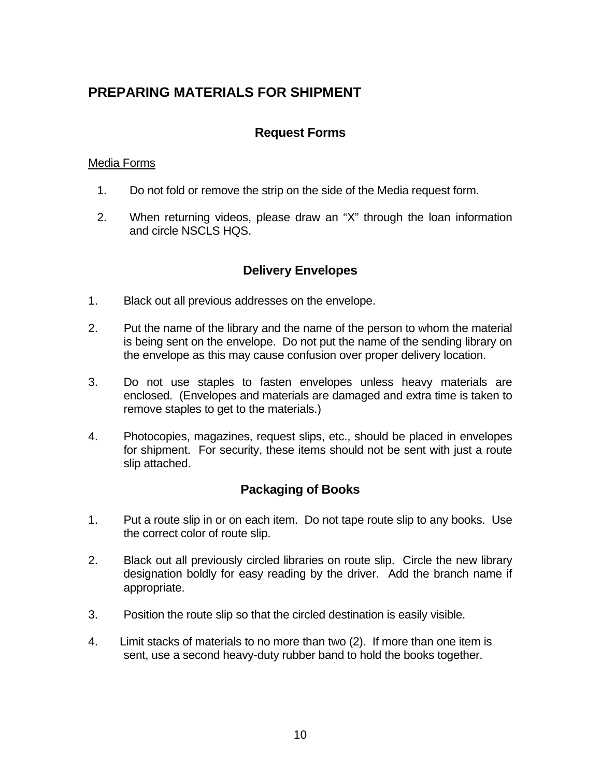# **PREPARING MATERIALS FOR SHIPMENT**

### **Request Forms**

#### Media Forms

- 1. Do not fold or remove the strip on the side of the Media request form.
- 2. When returning videos, please draw an "X" through the loan information and circle NSCLS HOS.

# **Delivery Envelopes**

- 1. Black out all previous addresses on the envelope.
- 2. Put the name of the library and the name of the person to whom the material is being sent on the envelope. Do not put the name of the sending library on the envelope as this may cause confusion over proper delivery location.
- 3. Do not use staples to fasten envelopes unless heavy materials are enclosed. (Envelopes and materials are damaged and extra time is taken to remove staples to get to the materials.)
- 4. Photocopies, magazines, request slips, etc., should be placed in envelopes for shipment. For security, these items should not be sent with just a route slip attached.

### **Packaging of Books**

- 1. Put a route slip in or on each item. Do not tape route slip to any books. Use the correct color of route slip.
- 2. Black out all previously circled libraries on route slip. Circle the new library designation boldly for easy reading by the driver. Add the branch name if appropriate.
- 3. Position the route slip so that the circled destination is easily visible.
- 4. Limit stacks of materials to no more than two (2). If more than one item is sent, use a second heavy-duty rubber band to hold the books together.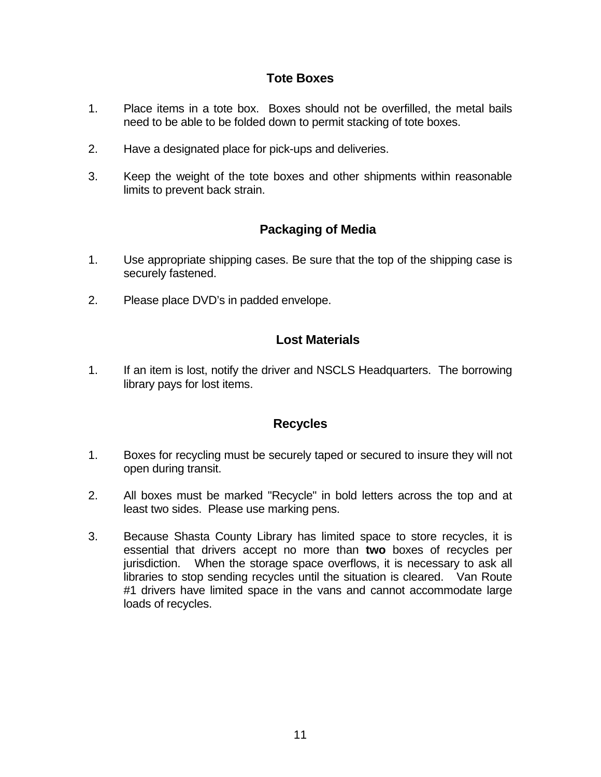### **Tote Boxes**

- 1. Place items in a tote box. Boxes should not be overfilled, the metal bails need to be able to be folded down to permit stacking of tote boxes.
- 2. Have a designated place for pick-ups and deliveries.
- 3. Keep the weight of the tote boxes and other shipments within reasonable limits to prevent back strain.

# **Packaging of Media**

- 1. Use appropriate shipping cases. Be sure that the top of the shipping case is securely fastened.
- 2. Please place DVD's in padded envelope.

# **Lost Materials**

1. If an item is lost, notify the driver and NSCLS Headquarters. The borrowing library pays for lost items.

### **Recycles**

- 1. Boxes for recycling must be securely taped or secured to insure they will not open during transit.
- 2. All boxes must be marked "Recycle" in bold letters across the top and at least two sides. Please use marking pens.
- 3. Because Shasta County Library has limited space to store recycles, it is essential that drivers accept no more than **two** boxes of recycles per jurisdiction. When the storage space overflows, it is necessary to ask all libraries to stop sending recycles until the situation is cleared. Van Route #1 drivers have limited space in the vans and cannot accommodate large loads of recycles.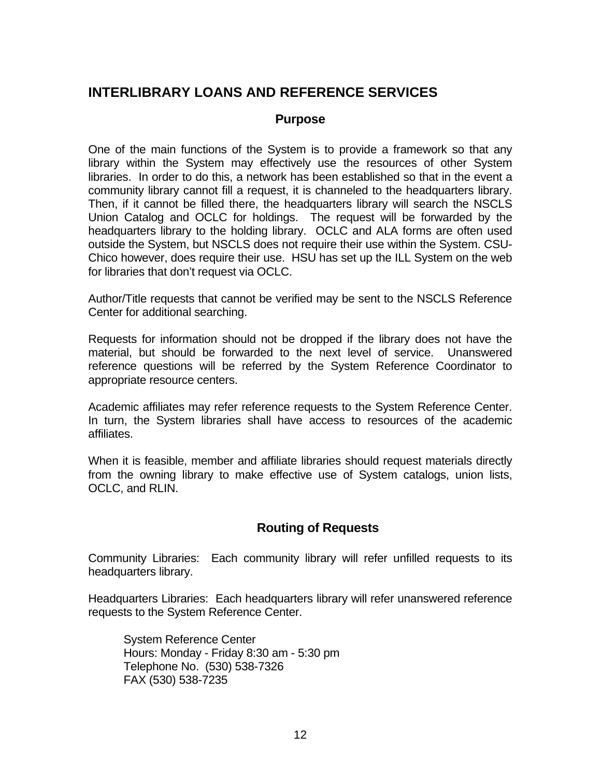# **INTERLIBRARY LOANS AND REFERENCE SERVICES**

### **Purpose**

One of the main functions of the System is to provide a framework so that any library within the System may effectively use the resources of other System libraries. In order to do this, a network has been established so that in the event a community library cannot fill a request, it is channeled to the headquarters library. Then, if it cannot be filled there, the headquarters library will search the NSCLS Union Catalog and OCLC for holdings. The request will be forwarded by the headquarters library to the holding library. OCLC and ALA forms are often used outside the System, but NSCLS does not require their use within the System. CSU-Chico however, does require their use. HSU has set up the ILL System on the web for libraries that don't request via OCLC.

Author/Title requests that cannot be verified may be sent to the NSCLS Reference Center for additional searching.

Requests for information should not be dropped if the library does not have the material, but should be forwarded to the next level of service. Unanswered reference questions will be referred by the System Reference Coordinator to appropriate resource centers.

Academic affiliates may refer reference requests to the System Reference Center. In turn, the System libraries shall have access to resources of the academic affiliates.

When it is feasible, member and affiliate libraries should request materials directly from the owning library to make effective use of System catalogs, union lists, OCLC, and RLIN.

# **Routing of Requests**

Community Libraries: Each community library will refer unfilled requests to its headquarters library.

Headquarters Libraries: Each headquarters library will refer unanswered reference requests to the System Reference Center.

 System Reference Center Hours: Monday - Friday 8:30 am - 5:30 pm Telephone No. (530) 538-7326 FAX (530) 538-7235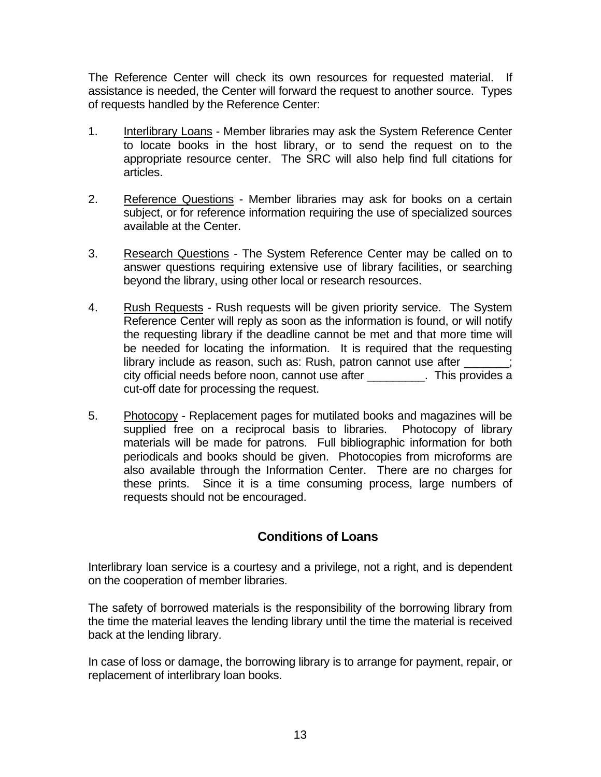The Reference Center will check its own resources for requested material. If assistance is needed, the Center will forward the request to another source. Types of requests handled by the Reference Center:

- 1. Interlibrary Loans Member libraries may ask the System Reference Center to locate books in the host library, or to send the request on to the appropriate resource center. The SRC will also help find full citations for articles.
- 2. Reference Questions Member libraries may ask for books on a certain subject, or for reference information requiring the use of specialized sources available at the Center.
- 3. Research Questions The System Reference Center may be called on to answer questions requiring extensive use of library facilities, or searching beyond the library, using other local or research resources.
- 4. Rush Requests Rush requests will be given priority service. The System Reference Center will reply as soon as the information is found, or will notify the requesting library if the deadline cannot be met and that more time will be needed for locating the information. It is required that the requesting library include as reason, such as: Rush, patron cannot use after \_\_\_\_\_\_\_; city official needs before noon, cannot use after \_\_\_\_\_\_\_\_\_. This provides a cut-off date for processing the request.
- 5. Photocopy Replacement pages for mutilated books and magazines will be supplied free on a reciprocal basis to libraries. Photocopy of library materials will be made for patrons. Full bibliographic information for both periodicals and books should be given. Photocopies from microforms are also available through the Information Center. There are no charges for these prints. Since it is a time consuming process, large numbers of requests should not be encouraged.

# **Conditions of Loans**

Interlibrary loan service is a courtesy and a privilege, not a right, and is dependent on the cooperation of member libraries.

The safety of borrowed materials is the responsibility of the borrowing library from the time the material leaves the lending library until the time the material is received back at the lending library.

In case of loss or damage, the borrowing library is to arrange for payment, repair, or replacement of interlibrary loan books.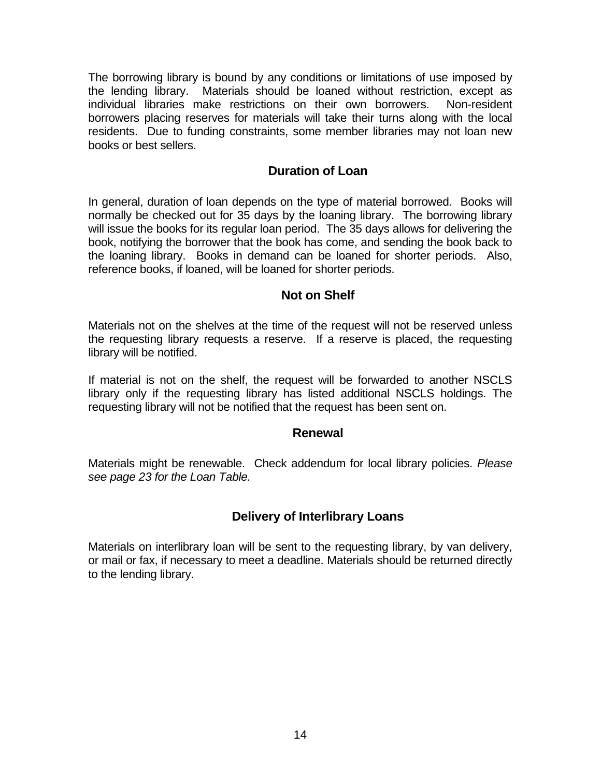The borrowing library is bound by any conditions or limitations of use imposed by the lending library. Materials should be loaned without restriction, except as individual libraries make restrictions on their own borrowers. Non-resident borrowers placing reserves for materials will take their turns along with the local residents. Due to funding constraints, some member libraries may not loan new books or best sellers.

### **Duration of Loan**

In general, duration of loan depends on the type of material borrowed. Books will normally be checked out for 35 days by the loaning library. The borrowing library will issue the books for its regular loan period. The 35 days allows for delivering the book, notifying the borrower that the book has come, and sending the book back to the loaning library. Books in demand can be loaned for shorter periods. Also, reference books, if loaned, will be loaned for shorter periods.

### **Not on Shelf**

Materials not on the shelves at the time of the request will not be reserved unless the requesting library requests a reserve. If a reserve is placed, the requesting library will be notified.

If material is not on the shelf, the request will be forwarded to another NSCLS library only if the requesting library has listed additional NSCLS holdings. The requesting library will not be notified that the request has been sent on.

### **Renewal**

Materials might be renewable. Check addendum for local library policies. *Please see page 23 for the Loan Table.* 

# **Delivery of Interlibrary Loans**

Materials on interlibrary loan will be sent to the requesting library, by van delivery, or mail or fax, if necessary to meet a deadline. Materials should be returned directly to the lending library.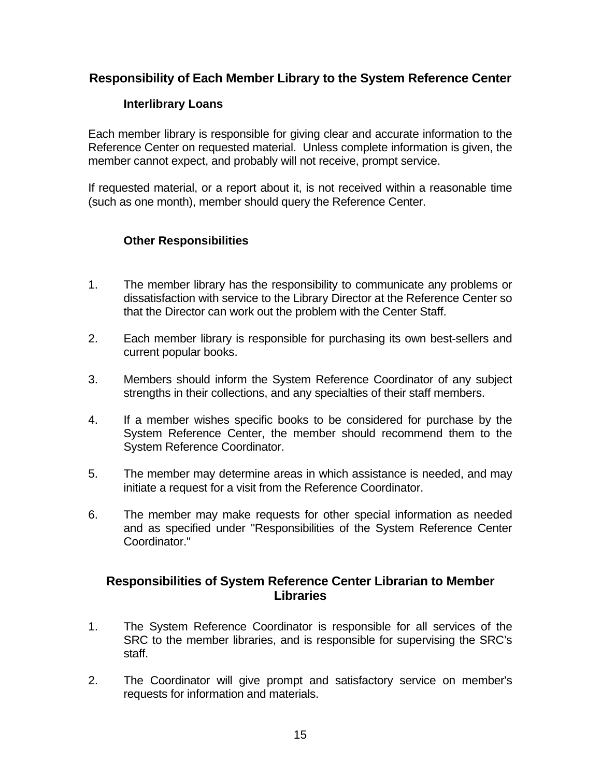### **Responsibility of Each Member Library to the System Reference Center**

### **Interlibrary Loans**

Each member library is responsible for giving clear and accurate information to the Reference Center on requested material. Unless complete information is given, the member cannot expect, and probably will not receive, prompt service.

If requested material, or a report about it, is not received within a reasonable time (such as one month), member should query the Reference Center.

### **Other Responsibilities**

- 1. The member library has the responsibility to communicate any problems or dissatisfaction with service to the Library Director at the Reference Center so that the Director can work out the problem with the Center Staff.
- 2. Each member library is responsible for purchasing its own best-sellers and current popular books.
- 3. Members should inform the System Reference Coordinator of any subject strengths in their collections, and any specialties of their staff members.
- 4. If a member wishes specific books to be considered for purchase by the System Reference Center, the member should recommend them to the System Reference Coordinator.
- 5. The member may determine areas in which assistance is needed, and may initiate a request for a visit from the Reference Coordinator.
- 6. The member may make requests for other special information as needed and as specified under "Responsibilities of the System Reference Center Coordinator."

### **Responsibilities of System Reference Center Librarian to Member Libraries**

- 1. The System Reference Coordinator is responsible for all services of the SRC to the member libraries, and is responsible for supervising the SRC's staff.
- 2. The Coordinator will give prompt and satisfactory service on member's requests for information and materials.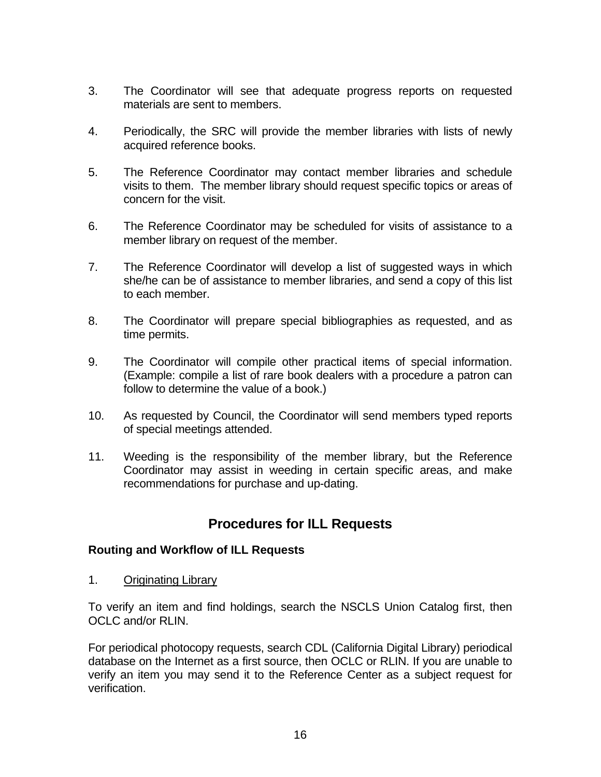- 3. The Coordinator will see that adequate progress reports on requested materials are sent to members.
- 4. Periodically, the SRC will provide the member libraries with lists of newly acquired reference books.
- 5. The Reference Coordinator may contact member libraries and schedule visits to them. The member library should request specific topics or areas of concern for the visit.
- 6. The Reference Coordinator may be scheduled for visits of assistance to a member library on request of the member.
- 7. The Reference Coordinator will develop a list of suggested ways in which she/he can be of assistance to member libraries, and send a copy of this list to each member.
- 8. The Coordinator will prepare special bibliographies as requested, and as time permits.
- 9. The Coordinator will compile other practical items of special information. (Example: compile a list of rare book dealers with a procedure a patron can follow to determine the value of a book.)
- 10. As requested by Council, the Coordinator will send members typed reports of special meetings attended.
- 11. Weeding is the responsibility of the member library, but the Reference Coordinator may assist in weeding in certain specific areas, and make recommendations for purchase and up-dating.

# **Procedures for ILL Requests**

### **Routing and Workflow of ILL Requests**

1. Originating Library

To verify an item and find holdings, search the NSCLS Union Catalog first, then OCLC and/or RLIN.

For periodical photocopy requests, search CDL (California Digital Library) periodical database on the Internet as a first source, then OCLC or RLIN. If you are unable to verify an item you may send it to the Reference Center as a subject request for verification.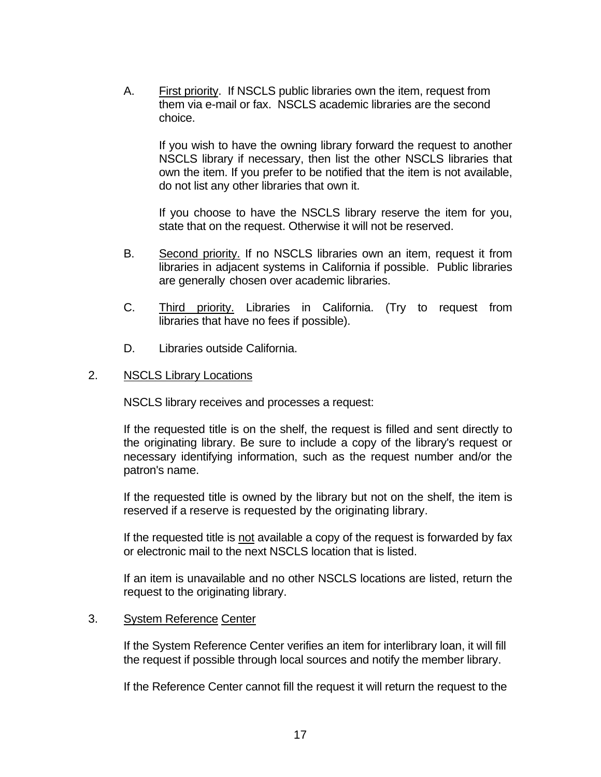A. First priority. If NSCLS public libraries own the item, request from them via e-mail or fax. NSCLS academic libraries are the second choice.

 If you wish to have the owning library forward the request to another NSCLS library if necessary, then list the other NSCLS libraries that own the item. If you prefer to be notified that the item is not available, do not list any other libraries that own it.

 If you choose to have the NSCLS library reserve the item for you, state that on the request. Otherwise it will not be reserved.

- B. Second priority. If no NSCLS libraries own an item, request it from libraries in adjacent systems in California if possible. Public libraries are generally chosen over academic libraries.
- C. Third priority. Libraries in California. (Try to request from libraries that have no fees if possible).
- D. Libraries outside California.

### 2. NSCLS Library Locations

NSCLS library receives and processes a request:

 If the requested title is on the shelf, the request is filled and sent directly to the originating library. Be sure to include a copy of the library's request or necessary identifying information, such as the request number and/or the patron's name.

If the requested title is owned by the library but not on the shelf, the item is reserved if a reserve is requested by the originating library.

 If the requested title is not available a copy of the request is forwarded by fax or electronic mail to the next NSCLS location that is listed.

 If an item is unavailable and no other NSCLS locations are listed, return the request to the originating library.

### 3. System Reference Center

 If the System Reference Center verifies an item for interlibrary loan, it will fill the request if possible through local sources and notify the member library.

If the Reference Center cannot fill the request it will return the request to the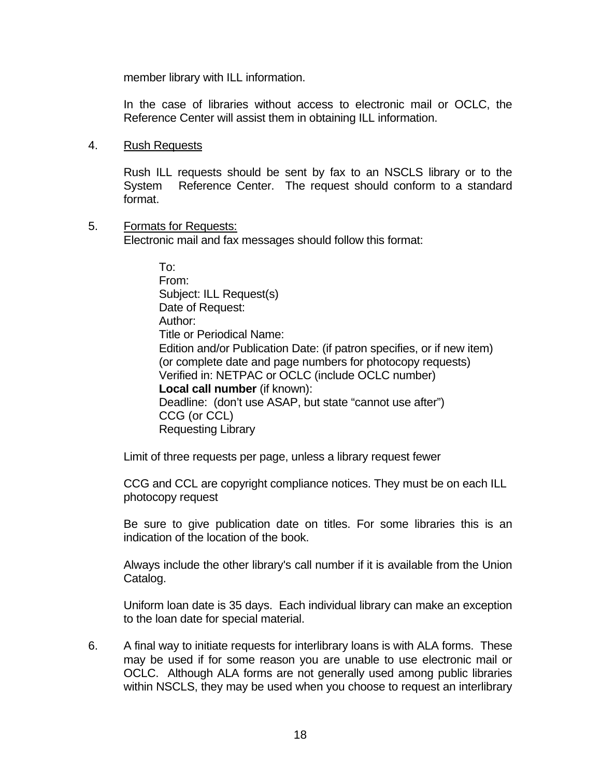member library with ILL information.

 In the case of libraries without access to electronic mail or OCLC, the Reference Center will assist them in obtaining ILL information.

#### 4. Rush Requests

Rush ILL requests should be sent by fax to an NSCLS library or to the System Reference Center. The request should conform to a standard format.

#### 5. Formats for Requests:

Electronic mail and fax messages should follow this format:

 To: From: Subject: ILL Request(s) Date of Request: Author: Title or Periodical Name: Edition and/or Publication Date: (if patron specifies, or if new item) (or complete date and page numbers for photocopy requests) Verified in: NETPAC or OCLC (include OCLC number) **Local call number** (if known): Deadline: (don't use ASAP, but state "cannot use after") CCG (or CCL) Requesting Library

Limit of three requests per page, unless a library request fewer

 CCG and CCL are copyright compliance notices. They must be on each ILL photocopy request

Be sure to give publication date on titles. For some libraries this is an indication of the location of the book.

Always include the other library's call number if it is available from the Union Catalog.

Uniform loan date is 35 days. Each individual library can make an exception to the loan date for special material.

6. A final way to initiate requests for interlibrary loans is with ALA forms. These may be used if for some reason you are unable to use electronic mail or OCLC. Although ALA forms are not generally used among public libraries within NSCLS, they may be used when you choose to request an interlibrary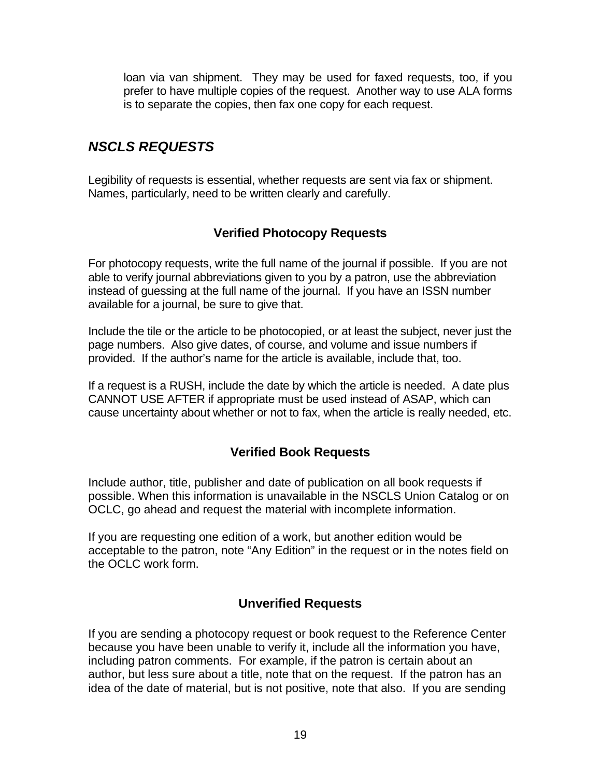loan via van shipment. They may be used for faxed requests, too, if you prefer to have multiple copies of the request. Another way to use ALA forms is to separate the copies, then fax one copy for each request.

# *NSCLS REQUESTS*

Legibility of requests is essential, whether requests are sent via fax or shipment. Names, particularly, need to be written clearly and carefully.

# **Verified Photocopy Requests**

For photocopy requests, write the full name of the journal if possible. If you are not able to verify journal abbreviations given to you by a patron, use the abbreviation instead of guessing at the full name of the journal. If you have an ISSN number available for a journal, be sure to give that.

Include the tile or the article to be photocopied, or at least the subject, never just the page numbers. Also give dates, of course, and volume and issue numbers if provided. If the author's name for the article is available, include that, too.

If a request is a RUSH, include the date by which the article is needed. A date plus CANNOT USE AFTER if appropriate must be used instead of ASAP, which can cause uncertainty about whether or not to fax, when the article is really needed, etc.

# **Verified Book Requests**

Include author, title, publisher and date of publication on all book requests if possible. When this information is unavailable in the NSCLS Union Catalog or on OCLC, go ahead and request the material with incomplete information.

If you are requesting one edition of a work, but another edition would be acceptable to the patron, note "Any Edition" in the request or in the notes field on the OCLC work form.

# **Unverified Requests**

If you are sending a photocopy request or book request to the Reference Center because you have been unable to verify it, include all the information you have, including patron comments. For example, if the patron is certain about an author, but less sure about a title, note that on the request. If the patron has an idea of the date of material, but is not positive, note that also. If you are sending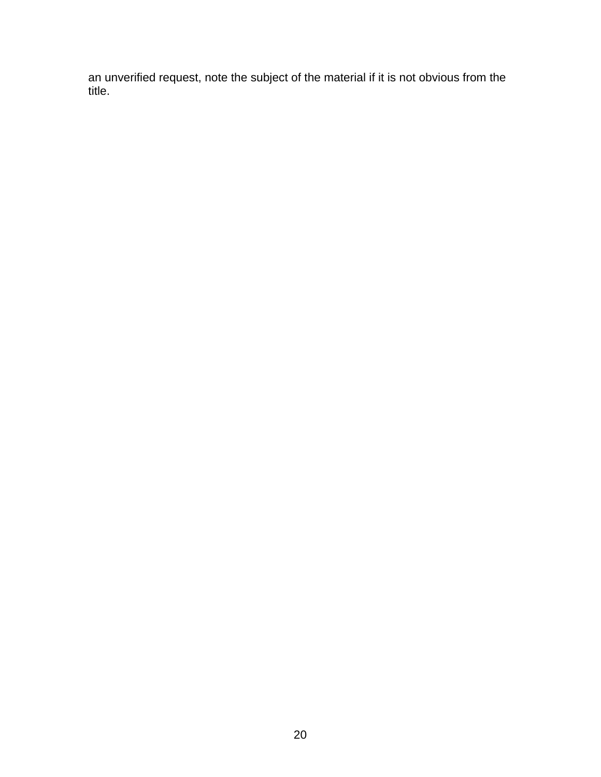an unverified request, note the subject of the material if it is not obvious from the title.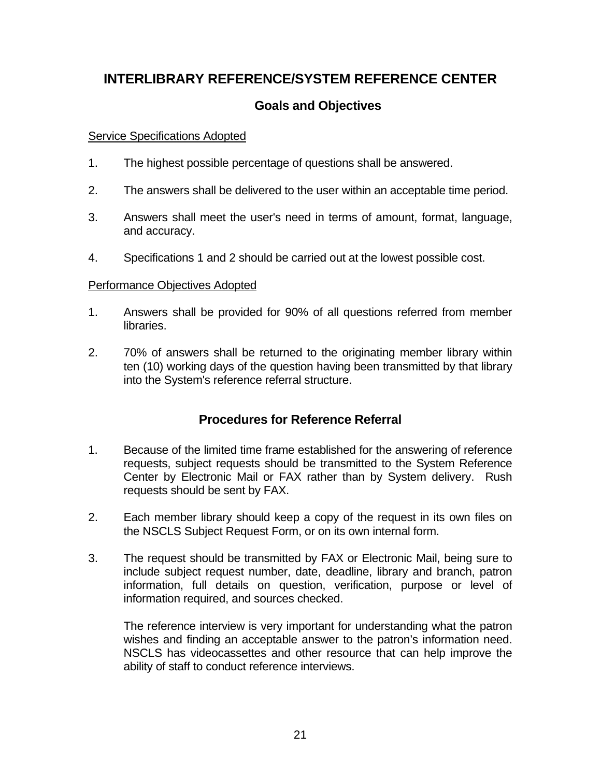# **INTERLIBRARY REFERENCE/SYSTEM REFERENCE CENTER**

### **Goals and Objectives**

#### Service Specifications Adopted

- 1. The highest possible percentage of questions shall be answered.
- 2. The answers shall be delivered to the user within an acceptable time period.
- 3. Answers shall meet the user's need in terms of amount, format, language, and accuracy.
- 4. Specifications 1 and 2 should be carried out at the lowest possible cost.

### Performance Objectives Adopted

- 1. Answers shall be provided for 90% of all questions referred from member libraries.
- 2. 70% of answers shall be returned to the originating member library within ten (10) working days of the question having been transmitted by that library into the System's reference referral structure.

# **Procedures for Reference Referral**

- 1. Because of the limited time frame established for the answering of reference requests, subject requests should be transmitted to the System Reference Center by Electronic Mail or FAX rather than by System delivery. Rush requests should be sent by FAX.
- 2. Each member library should keep a copy of the request in its own files on the NSCLS Subject Request Form, or on its own internal form.
- 3. The request should be transmitted by FAX or Electronic Mail, being sure to include subject request number, date, deadline, library and branch, patron information, full details on question, verification, purpose or level of information required, and sources checked.

The reference interview is very important for understanding what the patron wishes and finding an acceptable answer to the patron's information need. NSCLS has videocassettes and other resource that can help improve the ability of staff to conduct reference interviews.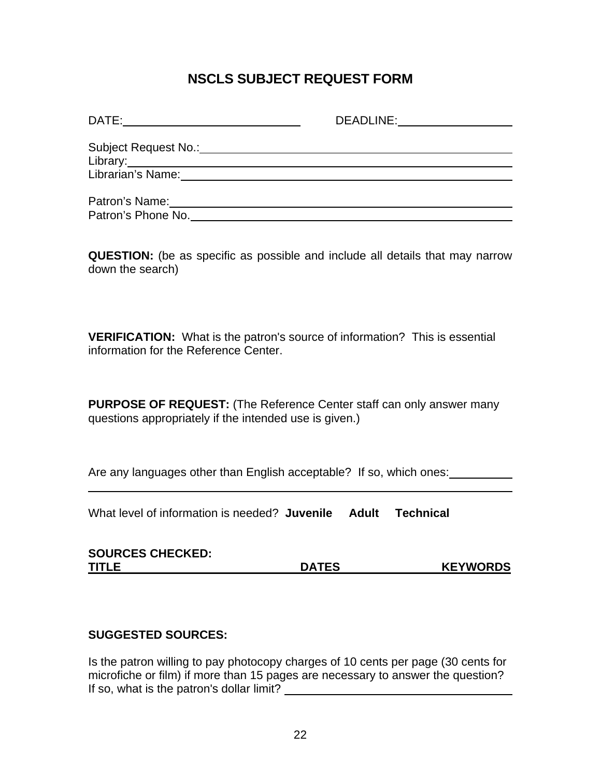# **NSCLS SUBJECT REQUEST FORM**

| DATE:                | DEADLINE: |
|----------------------|-----------|
| Subject Request No.: |           |
| Library:             |           |
| Librarian's Name:    |           |
|                      |           |
| Patron's Name:       |           |
| Patron's Phone No.   |           |

**QUESTION:** (be as specific as possible and include all details that may narrow down the search)

**VERIFICATION:** What is the patron's source of information? This is essential information for the Reference Center.

**PURPOSE OF REQUEST:** (The Reference Center staff can only answer many questions appropriately if the intended use is given.)

Are any languages other than English acceptable? If so, which ones:

What level of information is needed? **Juvenile Adult Technical**

| <b>SOURCES CHECKED:</b> |              |                 |
|-------------------------|--------------|-----------------|
| <b>TITLE</b>            | <b>DATES</b> | <b>KEYWORDS</b> |

### **SUGGESTED SOURCES:**

 $\overline{a}$ 

Is the patron willing to pay photocopy charges of 10 cents per page (30 cents for microfiche or film) if more than 15 pages are necessary to answer the question? If so, what is the patron's dollar limit?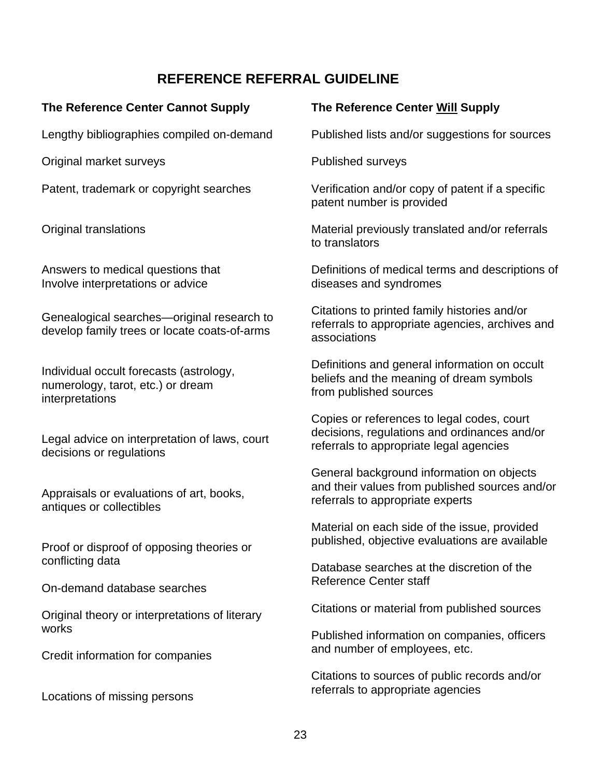# **REFERENCE REFERRAL GUIDELINE The Reference Center Cannot Supply**  Lengthy bibliographies compiled on-demand Original market surveys Patent, trademark or copyright searches Original translations Answers to medical questions that Involve interpretations or advice Genealogical searches—original research to develop family trees or locate coats-of-arms Individual occult forecasts (astrology, numerology, tarot, etc.) or dream interpretations Legal advice on interpretation of laws, court decisions or regulations Appraisals or evaluations of art, books, antiques or collectibles Proof or disproof of opposing theories or conflicting data **The Reference Center Will Supply** Published surveys patent number is provided to translators diseases and syndromes Citations to printed family histories and/or associations beliefs and the meaning of dream symbols from published sources Copies or references to legal codes, court referrals to appropriate legal agencies referrals to appropriate experts Database searches at the discretion of the

On-demand database searches

Original theory or interpretations of literary works

Credit information for companies

Locations of missing persons

Published lists and/or suggestions for sources

Verification and/or copy of patent if a specific

Material previously translated and/or referrals

Definitions of medical terms and descriptions of

referrals to appropriate agencies, archives and

Definitions and general information on occult

decisions, regulations and ordinances and/or

General background information on objects and their values from published sources and/or

Material on each side of the issue, provided published, objective evaluations are available

Reference Center staff

Citations or material from published sources

Published information on companies, officers and number of employees, etc.

Citations to sources of public records and/or referrals to appropriate agencies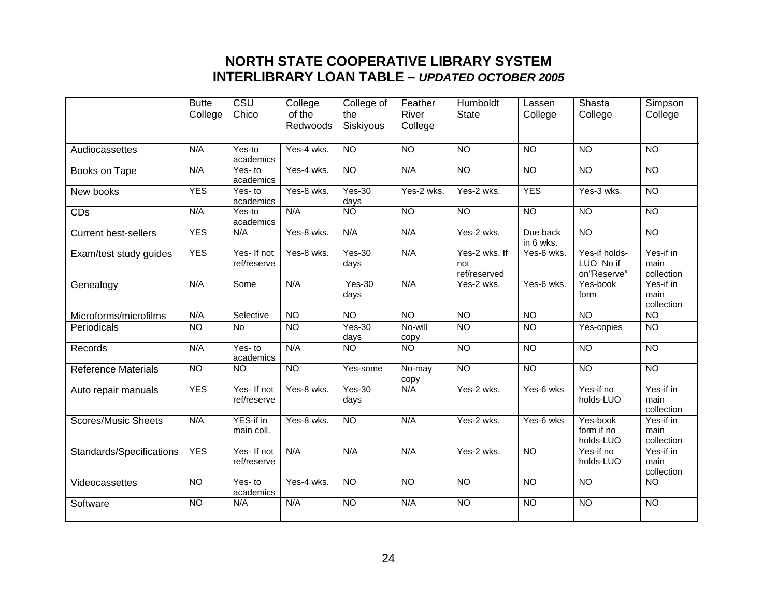# **NORTH STATE COOPERATIVE LIBRARY SYSTEM INTERLIBRARY LOAN TABLE –** *UPDATED OCTOBER 2005*

|                             | <b>Butte</b>    | CSU                                | College            | College of       | Feather          | Humboldt                             | Lassen                | Shasta                                    | Simpson                         |
|-----------------------------|-----------------|------------------------------------|--------------------|------------------|------------------|--------------------------------------|-----------------------|-------------------------------------------|---------------------------------|
|                             | College         | Chico                              | of the<br>Redwoods | the<br>Siskiyous | River<br>College | <b>State</b>                         | College               | College                                   | College                         |
| Audiocassettes              | N/A             | Yes-to<br>academics                | Yes-4 wks.         | $\overline{NO}$  | $\overline{NO}$  | $\overline{10}$                      | $\overline{NO}$       | $\overline{NO}$                           | $\overline{NO}$                 |
| Books on Tape               | N/A             | Yes-to<br>academics                | $Yes-4$ wks.       | <b>NO</b>        | N/A              | <b>NO</b>                            | $\overline{NO}$       | $\overline{NO}$                           | $\overline{10}$                 |
| New books                   | <b>YES</b>      | Yes-to<br>academics                | Yes-8 wks.         | $Yes-30$<br>days | Yes-2 wks.       | Yes-2 wks.                           | <b>YES</b>            | Yes-3 wks.                                | $\overline{NO}$                 |
| CDs                         | N/A             | Yes-to<br>academics                | N/A                | <b>NO</b>        | <b>NO</b>        | <b>NO</b>                            | $\overline{NO}$       | <b>NO</b>                                 | $\overline{N}$                  |
| <b>Current best-sellers</b> | <b>YES</b>      | N/A                                | Yes-8 wks.         | N/A              | N/A              | Yes-2 wks.                           | Due back<br>in 6 wks. | N <sub>O</sub>                            | N <sub>O</sub>                  |
| Exam/test study guides      | <b>YES</b>      | Yes- If not<br>ref/reserve         | Yes-8 wks.         | $Yes-30$<br>days | N/A              | Yes-2 wks. If<br>not<br>ref/reserved | Yes-6 wks.            | Yes-if holds-<br>LUO No if<br>on"Reserve" | Yes-if in<br>main<br>collection |
| Genealogy                   | N/A             | Some                               | N/A                | $Yes-30$<br>days | N/A              | Yes-2 wks.                           | Yes-6 wks.            | Yes-book<br>form                          | Yes-if in<br>main<br>collection |
| Microforms/microfilms       | N/A             | Selective                          | <b>NO</b>          | N <sub>O</sub>   | <b>NO</b>        | N <sub>O</sub>                       | $\overline{NO}$       | <b>NO</b>                                 | $\overline{10}$                 |
| Periodicals                 | $\overline{NO}$ | <b>No</b>                          | <b>NO</b>          | $Yes-30$<br>days | No-will<br>copy  | <b>NO</b>                            | N <sub>O</sub>        | Yes-copies                                | $\overline{NO}$                 |
| Records                     | N/A             | $\overline{Yes}$ - to<br>academics | N/A                | <b>NO</b>        | <b>NO</b>        | $\overline{NO}$                      | <b>NO</b>             | <b>NO</b>                                 | $\overline{N}$                  |
| <b>Reference Materials</b>  | $\overline{NO}$ | $\overline{NO}$                    | N <sub>O</sub>     | Yes-some         | No-may<br>copy   | N <sub>O</sub>                       | <b>NO</b>             | N <sub>O</sub>                            | N <sub>O</sub>                  |
| Auto repair manuals         | <b>YES</b>      | Yes- If not<br>ref/reserve         | Yes-8 wks.         | $Yes-30$<br>days | N/A              | Yes-2 wks.                           | Yes-6 wks             | Yes-if no<br>holds-LUO                    | Yes-if in<br>main<br>collection |
| <b>Scores/Music Sheets</b>  | N/A             | YES-if in<br>main coll.            | Yes-8 wks.         | N <sub>O</sub>   | N/A              | Yes-2 wks.                           | Yes-6 wks             | Yes-book<br>form if no<br>holds-LUO       | Yes-if in<br>main<br>collection |
| Standards/Specifications    | <b>YES</b>      | Yes-If not<br>ref/reserve          | N/A                | N/A              | N/A              | Yes-2 wks.                           | N <sub>O</sub>        | Yes-if no<br>holds-LUO                    | Yes-if in<br>main<br>collection |
| Videocassettes              | <b>NO</b>       | Yes-to<br>academics                | Yes-4 wks.         | $\overline{NO}$  | <b>NO</b>        | <b>NO</b>                            | $\overline{NO}$       | $\overline{NO}$                           | <b>NO</b>                       |
| Software                    | $\overline{NO}$ | N/A                                | N/A                | N <sub>O</sub>   | N/A              | $\overline{NO}$                      | $\overline{NO}$       | $\overline{NO}$                           | $\overline{10}$                 |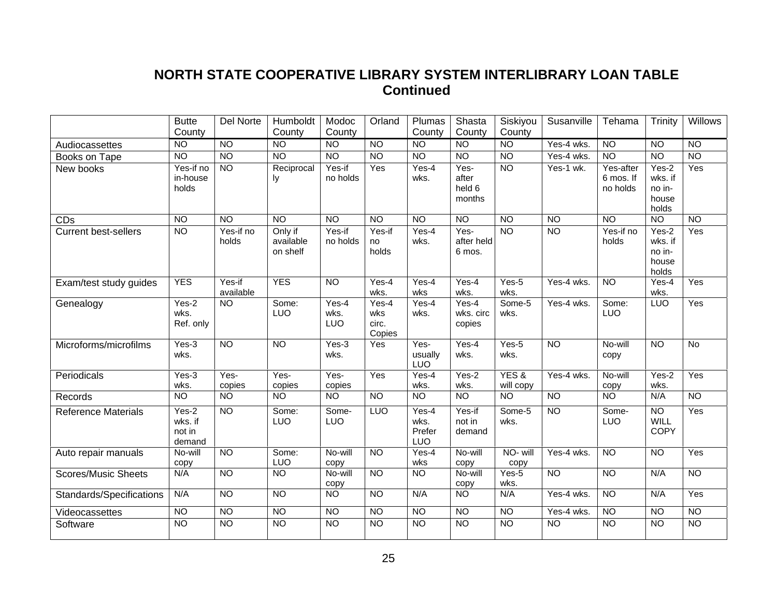# **NORTH STATE COOPERATIVE LIBRARY SYSTEM INTERLIBRARY LOAN TABLE Continued**

|                             | <b>Butte</b>                         | Del Norte           | Humboldt                         | Modoc                | Orland                          | Plumas                         | Shasta                            | Siskiyou          | Susanville               | Tehama                             | Trinity                                        | Willows         |
|-----------------------------|--------------------------------------|---------------------|----------------------------------|----------------------|---------------------------------|--------------------------------|-----------------------------------|-------------------|--------------------------|------------------------------------|------------------------------------------------|-----------------|
|                             | County                               |                     | County                           | County               |                                 | County                         | County                            | County            |                          |                                    |                                                |                 |
| Audiocassettes              | <b>NO</b>                            | N <sub>O</sub>      | <b>NO</b>                        | $\overline{NO}$      | N <sub>O</sub>                  | <b>NO</b>                      | $\overline{N}$                    | N <sub>O</sub>    | Yes-4 wks.               | N <sub>O</sub>                     | $\overline{N}$                                 | <b>NO</b>       |
| Books on Tape               | <b>NO</b>                            | $\overline{NO}$     | $\overline{NO}$                  | N <sub>O</sub>       | $\overline{NO}$                 | $\overline{N}$                 | $\overline{N}$                    | N <sub>O</sub>    | Yes-4 wks.               | N <sub>O</sub>                     | $\overline{NO}$                                | <b>NO</b>       |
| New books                   | Yes-if no<br>in-house<br>holds       | $\overline{NO}$     | Reciprocal<br>Iу                 | Yes-if<br>no holds   | Yes                             | Yes-4<br>wks.                  | Yes-<br>after<br>held 6<br>months | N <sub>O</sub>    | Yes-1 wk.                | Yes-after<br>6 mos. If<br>no holds | Yes-2<br>wks. if<br>no in-<br>house<br>holds   | Yes             |
| CDs                         | <b>NO</b>                            | <b>NO</b>           | <b>NO</b>                        | <b>NO</b>            | <b>NO</b>                       | <b>NO</b>                      | <b>NO</b>                         | <b>NO</b>         | $\overline{N}$           | <b>NO</b>                          | $\overline{10}$                                | <b>NO</b>       |
| <b>Current best-sellers</b> | <b>NO</b>                            | Yes-if no<br>holds  | Only if<br>available<br>on shelf | Yes-if<br>no holds   | Yes-if<br>no<br>holds           | $Yes-4$<br>wks.                | Yes-<br>after held<br>6 mos.      | <b>NO</b>         | <b>NO</b>                | Yes-if no<br>holds                 | $Yes-2$<br>wks. if<br>no in-<br>house<br>holds | Yes             |
| Exam/test study guides      | <b>YES</b>                           | Yes-if<br>available | <b>YES</b>                       | <b>NO</b>            | Yes-4<br>wks.                   | Yes-4<br>wks                   | $Yes-4$<br>wks.                   | Yes-5<br>wks.     | Yes-4 wks.               | <b>NO</b>                          | Yes-4<br>wks.                                  | Yes             |
| Genealogy                   | Yes-2<br>wks.<br>Ref. only           | <b>NO</b>           | Some:<br><b>LUO</b>              | Yes-4<br>wks.<br>LUO | Yes-4<br>wks<br>circ.<br>Copies | Yes-4<br>wks.                  | $Yes-4$<br>wks. circ<br>copies    | Some-5<br>wks.    | Yes-4 wks.               | Some:<br><b>LUO</b>                | <b>LUO</b>                                     | Yes             |
| Microforms/microfilms       | Yes-3<br>wks.                        | $\overline{NO}$     | <b>NO</b>                        | Yes-3<br>wks.        | Yes                             | Yes-<br>usually<br>LUO         | $Yes-4$<br>wks.                   | Yes-5<br>wks.     | N <sub>O</sub>           | No-will<br>copy                    | <b>NO</b>                                      | No              |
| Periodicals                 | Yes-3<br>wks.                        | Yes-<br>copies      | Yes-<br>copies                   | Yes-<br>copies       | $\overline{Yes}$                | Yes-4<br>wks.                  | $Yes-2$<br>wks.                   | YES&<br>will copy | Yes-4 wks.               | No-will<br>copy                    | Yes-2<br>wks.                                  | Yes             |
| Records                     | <b>NO</b>                            | <b>NO</b>           | <b>NO</b>                        | $\overline{NO}$      | <b>NO</b>                       | $\overline{NO}$                | $\overline{NO}$                   | <b>NO</b>         | $\overline{NO}$          | <b>NO</b>                          | N/A                                            | $\overline{NO}$ |
| <b>Reference Materials</b>  | Yes-2<br>wks. if<br>not in<br>demand | $\overline{NO}$     | Some:<br><b>LUO</b>              | Some-<br>LUO         | <b>LUO</b>                      | Yes-4<br>wks.<br>Prefer<br>LUO | Yes-if<br>not in<br>demand        | Some-5<br>wks.    | <b>NO</b>                | Some-<br>LUO                       | $\overline{NO}$<br><b>WILL</b><br><b>COPY</b>  | Yes             |
| Auto repair manuals         | No-will<br>copy                      | N <sub>O</sub>      | Some:<br>LUO                     | No-will<br>copy      | N <sub>O</sub>                  | Yes-4<br>wks                   | No-will<br>copy                   | NO- will<br>copy  | Yes-4 wks.               | N <sub>O</sub>                     | $\overline{NO}$                                | Yes             |
| <b>Scores/Music Sheets</b>  | N/A                                  | N <sub>O</sub>      | <b>NO</b>                        | No-will<br>copy      | <b>NO</b>                       | <b>NO</b>                      | No-will<br>copy                   | Yes-5<br>wks.     | <b>NO</b>                | N <sub>O</sub>                     | N/A                                            | <b>NO</b>       |
| Standards/Specifications    | N/A                                  | $\overline{NO}$     | $\overline{NO}$                  | $\overline{10}$      | $\overline{NO}$                 | N/A                            | $\overline{NO}$                   | N/A               | $\overline{Yes}$ -4 wks. | $\overline{10}$                    | N/A                                            | Yes             |
| Videocassettes              | $\overline{NO}$                      | N <sub>O</sub>      | N <sub>O</sub>                   | N <sub>O</sub>       | N <sub>O</sub>                  | N <sub>O</sub>                 | $\overline{N}$                    | <b>NO</b>         | Yes-4 wks.               | $\overline{10}$                    | $\overline{NO}$                                | $\overline{NO}$ |
| Software                    | $\overline{NO}$                      | N <sub>O</sub>      | $\overline{NO}$                  | N <sub>O</sub>       | $\overline{NO}$                 | N <sub>O</sub>                 | $\overline{N}$                    | N <sub>O</sub>    | $\overline{NO}$          | $\overline{N}$                     | $\overline{NO}$                                | <b>NO</b>       |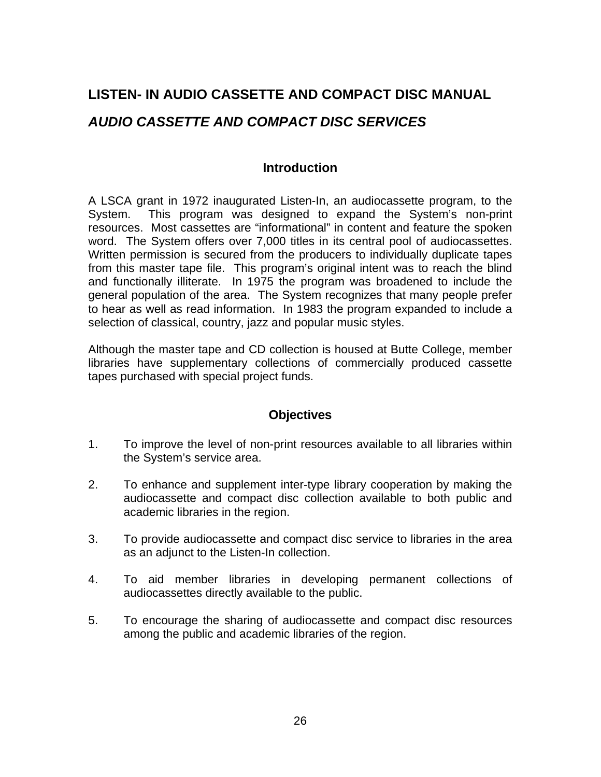# **LISTEN- IN AUDIO CASSETTE AND COMPACT DISC MANUAL**  *AUDIO CASSETTE AND COMPACT DISC SERVICES*

### **Introduction**

A LSCA grant in 1972 inaugurated Listen-In, an audiocassette program, to the System. This program was designed to expand the System's non-print resources. Most cassettes are "informational" in content and feature the spoken word. The System offers over 7,000 titles in its central pool of audiocassettes. Written permission is secured from the producers to individually duplicate tapes from this master tape file. This program's original intent was to reach the blind and functionally illiterate. In 1975 the program was broadened to include the general population of the area. The System recognizes that many people prefer to hear as well as read information. In 1983 the program expanded to include a selection of classical, country, jazz and popular music styles.

Although the master tape and CD collection is housed at Butte College, member libraries have supplementary collections of commercially produced cassette tapes purchased with special project funds.

### **Objectives**

- 1. To improve the level of non-print resources available to all libraries within the System's service area.
- 2. To enhance and supplement inter-type library cooperation by making the audiocassette and compact disc collection available to both public and academic libraries in the region.
- 3. To provide audiocassette and compact disc service to libraries in the area as an adjunct to the Listen-In collection.
- 4. To aid member libraries in developing permanent collections of audiocassettes directly available to the public.
- 5. To encourage the sharing of audiocassette and compact disc resources among the public and academic libraries of the region.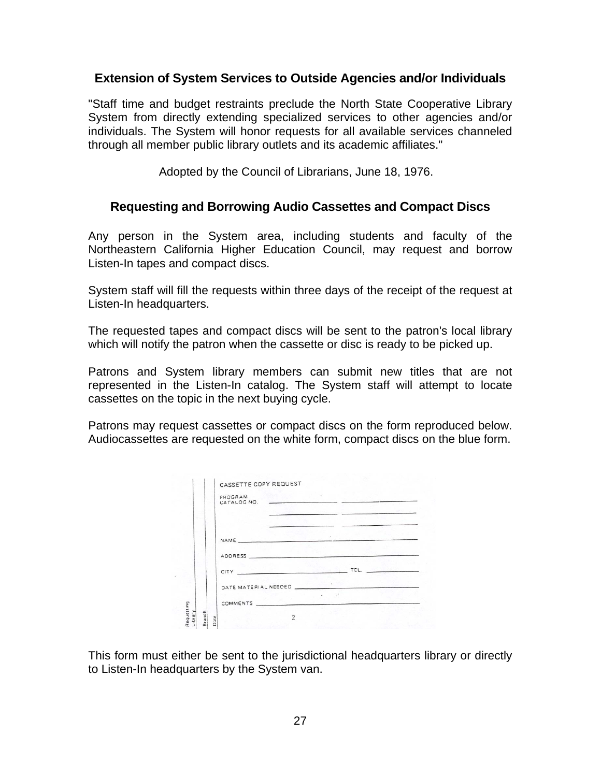### **Extension of System Services to Outside Agencies and/or Individuals**

"Staff time and budget restraints preclude the North State Cooperative Library System from directly extending specialized services to other agencies and/or individuals. The System will honor requests for all available services channeled through all member public library outlets and its academic affiliates."

Adopted by the Council of Librarians, June 18, 1976.

### **Requesting and Borrowing Audio Cassettes and Compact Discs**

Any person in the System area, including students and faculty of the Northeastern California Higher Education Council, may request and borrow Listen-In tapes and compact discs.

System staff will fill the requests within three days of the receipt of the request at Listen-In headquarters.

The requested tapes and compact discs will be sent to the patron's local library which will notify the patron when the cassette or disc is ready to be picked up.

Patrons and System library members can submit new titles that are not represented in the Listen-In catalog. The System staff will attempt to locate cassettes on the topic in the next buying cycle.

Patrons may request cassettes or compact discs on the form reproduced below. Audiocassettes are requested on the white form, compact discs on the blue form.

|         | PROGRAM<br>CATALOG NO.   | the first company of the company of the company of the company of the company of the company of the company of |
|---------|--------------------------|----------------------------------------------------------------------------------------------------------------|
|         |                          |                                                                                                                |
|         |                          |                                                                                                                |
|         |                          |                                                                                                                |
|         |                          | CITY <u>And a complete the second telescope of</u>                                                             |
|         | DATE MATERIAL NEEDED     |                                                                                                                |
| Library | COMMENTS <b>COMMENTS</b> | $\begin{array}{ccc}\n\bullet & \cdot & \cdot & \bullet\n\end{array}$                                           |

This form must either be sent to the jurisdictional headquarters library or directly to Listen-In headquarters by the System van.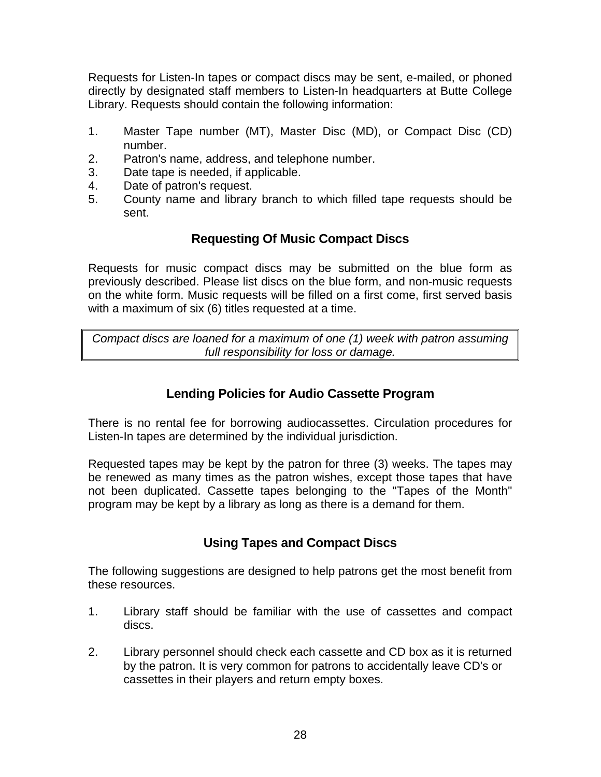Requests for Listen-In tapes or compact discs may be sent, e-mailed, or phoned directly by designated staff members to Listen-In headquarters at Butte College Library. Requests should contain the following information:

- 1. Master Tape number (MT), Master Disc (MD), or Compact Disc (CD) number.
- 2. Patron's name, address, and telephone number.
- 3. Date tape is needed, if applicable.
- 4. Date of patron's request.
- 5. County name and library branch to which filled tape requests should be sent.

# **Requesting Of Music Compact Discs**

Requests for music compact discs may be submitted on the blue form as previously described. Please list discs on the blue form, and non-music requests on the white form. Music requests will be filled on a first come, first served basis with a maximum of six (6) titles requested at a time.

*Compact discs are loaned for a maximum of one (1) week with patron assuming full responsibility for loss or damage.* 

# **Lending Policies for Audio Cassette Program**

There is no rental fee for borrowing audiocassettes. Circulation procedures for Listen-In tapes are determined by the individual jurisdiction.

Requested tapes may be kept by the patron for three (3) weeks. The tapes may be renewed as many times as the patron wishes, except those tapes that have not been duplicated. Cassette tapes belonging to the "Tapes of the Month" program may be kept by a library as long as there is a demand for them.

# **Using Tapes and Compact Discs**

The following suggestions are designed to help patrons get the most benefit from these resources.

- 1. Library staff should be familiar with the use of cassettes and compact discs.
- 2. Library personnel should check each cassette and CD box as it is returned by the patron. It is very common for patrons to accidentally leave CD's or cassettes in their players and return empty boxes.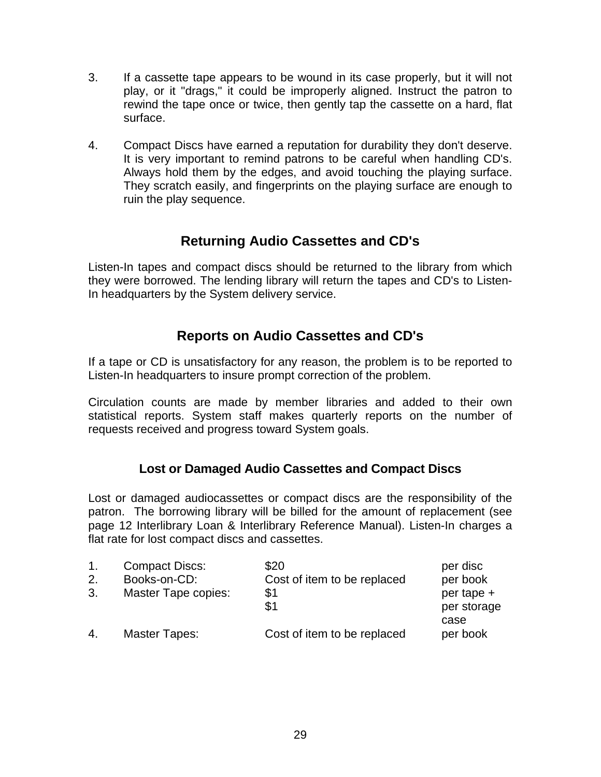- 3. If a cassette tape appears to be wound in its case properly, but it will not play, or it "drags," it could be improperly aligned. Instruct the patron to rewind the tape once or twice, then gently tap the cassette on a hard, flat surface.
- 4. Compact Discs have earned a reputation for durability they don't deserve. It is very important to remind patrons to be careful when handling CD's. Always hold them by the edges, and avoid touching the playing surface. They scratch easily, and fingerprints on the playing surface are enough to ruin the play sequence.

# **Returning Audio Cassettes and CD's**

Listen-In tapes and compact discs should be returned to the library from which they were borrowed. The lending library will return the tapes and CD's to Listen-In headquarters by the System delivery service.

# **Reports on Audio Cassettes and CD's**

If a tape or CD is unsatisfactory for any reason, the problem is to be reported to Listen-In headquarters to insure prompt correction of the problem.

Circulation counts are made by member libraries and added to their own statistical reports. System staff makes quarterly reports on the number of requests received and progress toward System goals.

# **Lost or Damaged Audio Cassettes and Compact Discs**

Lost or damaged audiocassettes or compact discs are the responsibility of the patron. The borrowing library will be billed for the amount of replacement (see page 12 Interlibrary Loan & Interlibrary Reference Manual). Listen-In charges a flat rate for lost compact discs and cassettes.

| 1. | <b>Compact Discs:</b> | \$20                        | per disc                  |
|----|-----------------------|-----------------------------|---------------------------|
| 2. | Books-on-CD:          | Cost of item to be replaced | per book                  |
| 3. | Master Tape copies:   | \$1<br>\$1                  | per tape +<br>per storage |
| 4. | Master Tapes:         | Cost of item to be replaced | case<br>per book          |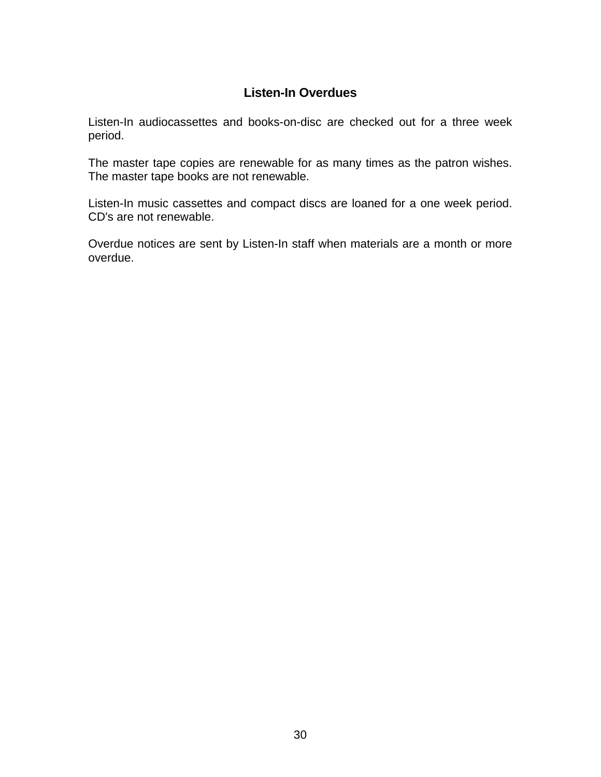# **Listen-In Overdues**

Listen-In audiocassettes and books-on-disc are checked out for a three week period.

The master tape copies are renewable for as many times as the patron wishes. The master tape books are not renewable.

Listen-In music cassettes and compact discs are loaned for a one week period. CD's are not renewable.

Overdue notices are sent by Listen-In staff when materials are a month or more overdue.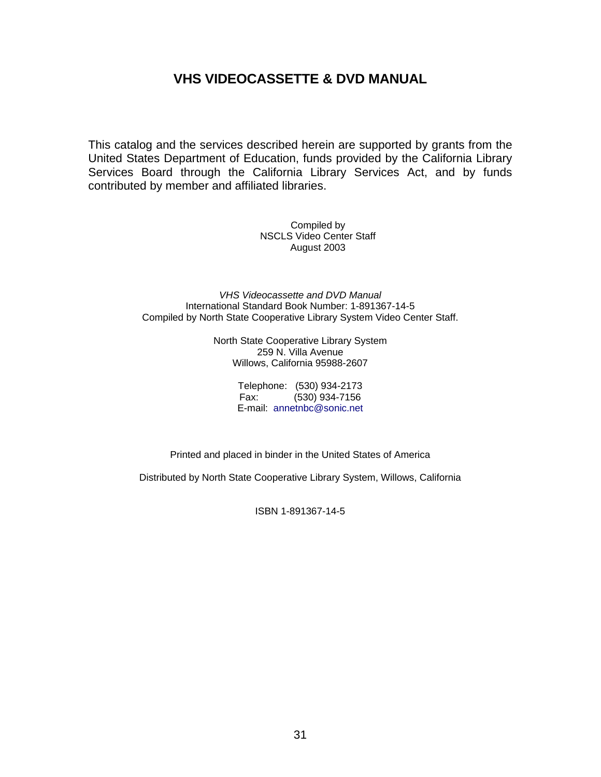# **VHS VIDEOCASSETTE & DVD MANUAL**

This catalog and the services described herein are supported by grants from the United States Department of Education, funds provided by the California Library Services Board through the California Library Services Act, and by funds contributed by member and affiliated libraries.

> Compiled by NSCLS Video Center Staff August 2003

*VHS Videocassette and DVD Manual*  International Standard Book Number: 1-891367-14-5 Compiled by North State Cooperative Library System Video Center Staff.

> North State Cooperative Library System 259 N. Villa Avenue Willows, California 95988-2607

> > Telephone: (530) 934-2173 Fax: (530) 934-7156 E-mail: annetnbc@sonic.net

Printed and placed in binder in the United States of America

Distributed by North State Cooperative Library System, Willows, California

ISBN 1-891367-14-5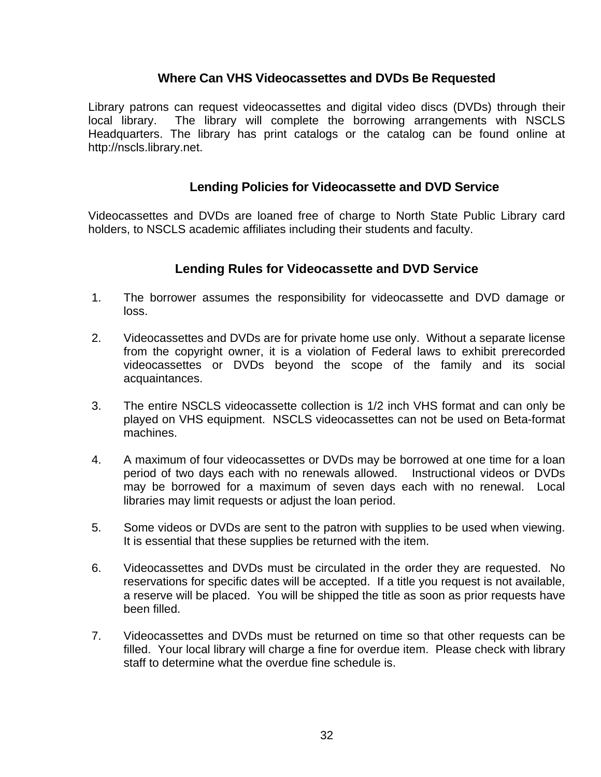### **Where Can VHS Videocassettes and DVDs Be Requested**

Library patrons can request videocassettes and digital video discs (DVDs) through their local library. The library will complete the borrowing arrangements with NSCLS Headquarters. The library has print catalogs or the catalog can be found online at http://nscls.library.net.

### **Lending Policies for Videocassette and DVD Service**

Videocassettes and DVDs are loaned free of charge to North State Public Library card holders, to NSCLS academic affiliates including their students and faculty.

### **Lending Rules for Videocassette and DVD Service**

- 1. The borrower assumes the responsibility for videocassette and DVD damage or loss.
- 2. Videocassettes and DVDs are for private home use only. Without a separate license from the copyright owner, it is a violation of Federal laws to exhibit prerecorded videocassettes or DVDs beyond the scope of the family and its social acquaintances.
- 3. The entire NSCLS videocassette collection is 1/2 inch VHS format and can only be played on VHS equipment. NSCLS videocassettes can not be used on Beta-format machines.
- 4. A maximum of four videocassettes or DVDs may be borrowed at one time for a loan period of two days each with no renewals allowed. Instructional videos or DVDs may be borrowed for a maximum of seven days each with no renewal. Local libraries may limit requests or adjust the loan period.
- 5. Some videos or DVDs are sent to the patron with supplies to be used when viewing. It is essential that these supplies be returned with the item.
- 6. Videocassettes and DVDs must be circulated in the order they are requested. No reservations for specific dates will be accepted. If a title you request is not available, a reserve will be placed. You will be shipped the title as soon as prior requests have been filled.
- 7. Videocassettes and DVDs must be returned on time so that other requests can be filled. Your local library will charge a fine for overdue item. Please check with library staff to determine what the overdue fine schedule is.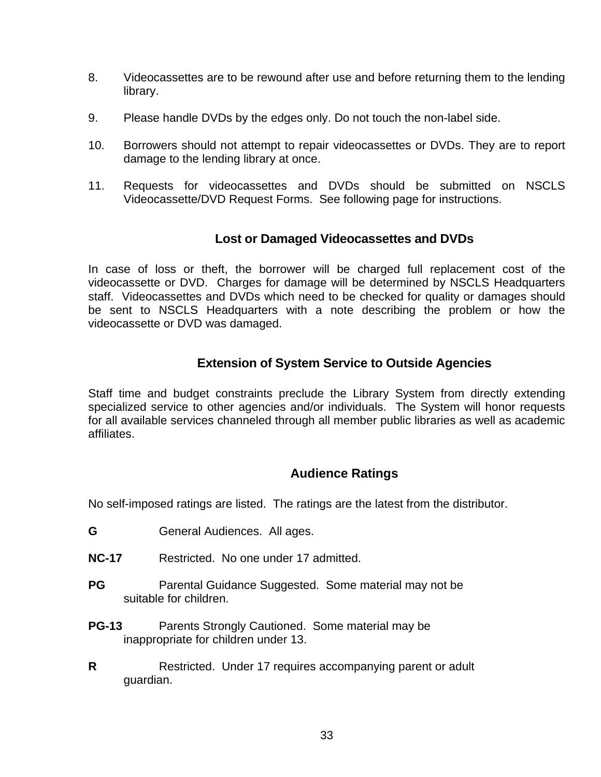- 8. Videocassettes are to be rewound after use and before returning them to the lending library.
- 9. Please handle DVDs by the edges only. Do not touch the non-label side.
- 10. Borrowers should not attempt to repair videocassettes or DVDs. They are to report damage to the lending library at once.
- 11. Requests for videocassettes and DVDs should be submitted on NSCLS Videocassette/DVD Request Forms. See following page for instructions.

### **Lost or Damaged Videocassettes and DVDs**

In case of loss or theft, the borrower will be charged full replacement cost of the videocassette or DVD. Charges for damage will be determined by NSCLS Headquarters staff. Videocassettes and DVDs which need to be checked for quality or damages should be sent to NSCLS Headquarters with a note describing the problem or how the videocassette or DVD was damaged.

### **Extension of System Service to Outside Agencies**

Staff time and budget constraints preclude the Library System from directly extending specialized service to other agencies and/or individuals. The System will honor requests for all available services channeled through all member public libraries as well as academic affiliates.

### **Audience Ratings**

No self-imposed ratings are listed. The ratings are the latest from the distributor.

- G **G** General Audiences. All ages.
- **NC-17** Restricted. No one under 17 admitted.
- **PG** Parental Guidance Suggested. Some material may not be suitable for children.
- **PG-13** Parents Strongly Cautioned. Some material may be inappropriate for children under 13.
- **R** Restricted. Under 17 requires accompanying parent or adult guardian.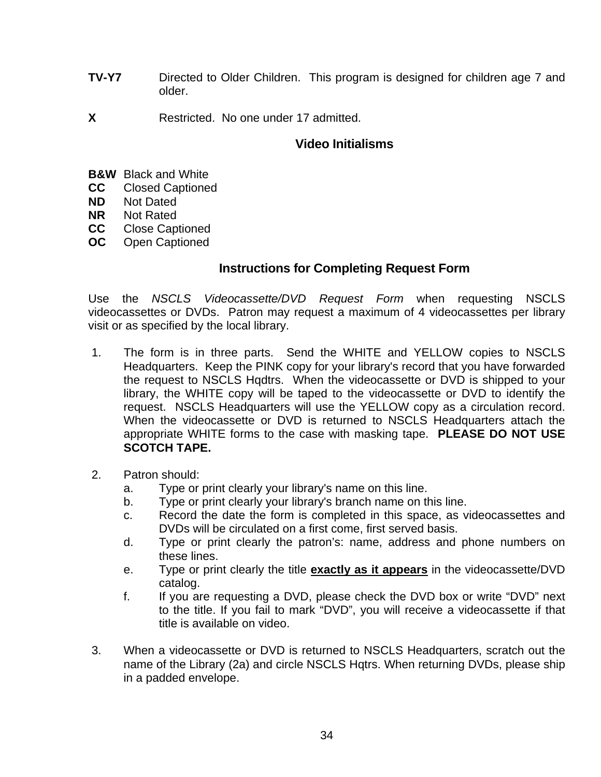- **TV-Y7** Directed to Older Children. This program is designed for children age 7 and older.
- **X** Restricted. No one under 17 admitted.

### **Video Initialisms**

- **B&W** Black and White
- **CC** Closed Captioned
- **ND** Not Dated
- **NR** Not Rated
- **CC** Close Captioned
- **OC** Open Captioned

### **Instructions for Completing Request Form**

Use the *NSCLS Videocassette/DVD Request Form* when requesting NSCLS videocassettes or DVDs. Patron may request a maximum of 4 videocassettes per library visit or as specified by the local library.

- 1. The form is in three parts. Send the WHITE and YELLOW copies to NSCLS Headquarters. Keep the PINK copy for your library's record that you have forwarded the request to NSCLS Hqdtrs. When the videocassette or DVD is shipped to your library, the WHITE copy will be taped to the videocassette or DVD to identify the request. NSCLS Headquarters will use the YELLOW copy as a circulation record. When the videocassette or DVD is returned to NSCLS Headquarters attach the appropriate WHITE forms to the case with masking tape. **PLEASE DO NOT USE SCOTCH TAPE.**
- 2. Patron should:
	- a. Type or print clearly your library's name on this line.
	- b. Type or print clearly your library's branch name on this line.
	- c. Record the date the form is completed in this space, as videocassettes and DVDs will be circulated on a first come, first served basis.
	- d. Type or print clearly the patron's: name, address and phone numbers on these lines.
	- e. Type or print clearly the title **exactly as it appears** in the videocassette/DVD catalog.
	- f. If you are requesting a DVD, please check the DVD box or write "DVD" next to the title. If you fail to mark "DVD", you will receive a videocassette if that title is available on video.
- 3. When a videocassette or DVD is returned to NSCLS Headquarters, scratch out the name of the Library (2a) and circle NSCLS Hqtrs. When returning DVDs, please ship in a padded envelope.